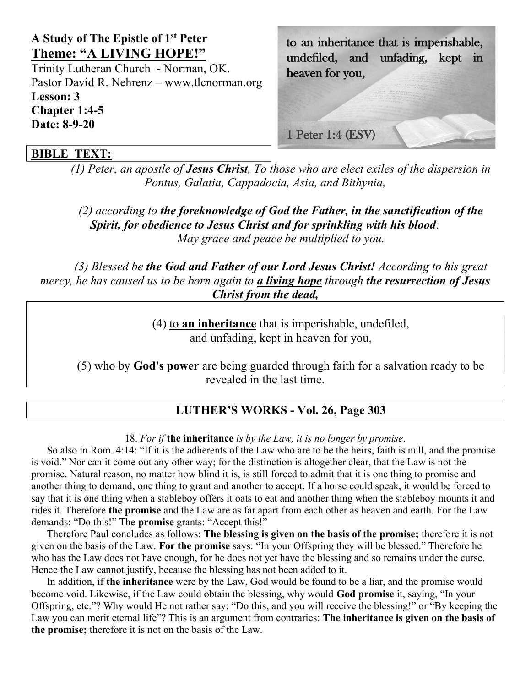# A Study of The Epistle of 1st Peter Theme: "A LIVING HOPE!"

Trinity Lutheran Church - Norman, OK. Pastor David R. Nehrenz – www.tlcnorman.org Lesson: 3 Chapter 1:4-5 Date: 8-9-20

#### to an inheritance that is imperishable, undefiled, and unfading, kept in heaven for you,

1 Peter 1:4 (ESV)

## BIBLE TEXT:

(1) Peter, an apostle of **Jesus Christ**, To those who are elect exiles of the dispersion in Pontus, Galatia, Cappadocia, Asia, and Bithynia,

 $(2)$  according to the foreknowledge of God the Father, in the sanctification of the Spirit, for obedience to Jesus Christ and for sprinkling with his blood: May grace and peace be multiplied to you.

(3) Blessed be the God and Father of our Lord Jesus Christ! According to his great mercy, he has caused us to be born again to a living hope through the resurrection of Jesus Christ from the dead,

> (4) to an inheritance that is imperishable, undefiled, and unfading, kept in heaven for you,

(5) who by God's power are being guarded through faith for a salvation ready to be revealed in the last time.

## LUTHER'S WORKS - Vol. 26, Page 303

18. For if the inheritance is by the Law, it is no longer by promise.

So also in Rom. 4:14: "If it is the adherents of the Law who are to be the heirs, faith is null, and the promise is void." Nor can it come out any other way; for the distinction is altogether clear, that the Law is not the promise. Natural reason, no matter how blind it is, is still forced to admit that it is one thing to promise and another thing to demand, one thing to grant and another to accept. If a horse could speak, it would be forced to say that it is one thing when a stableboy offers it oats to eat and another thing when the stableboy mounts it and rides it. Therefore the promise and the Law are as far apart from each other as heaven and earth. For the Law demands: "Do this!" The promise grants: "Accept this!"

Therefore Paul concludes as follows: The blessing is given on the basis of the promise; therefore it is not given on the basis of the Law. For the promise says: "In your Offspring they will be blessed." Therefore he who has the Law does not have enough, for he does not yet have the blessing and so remains under the curse. Hence the Law cannot justify, because the blessing has not been added to it.

In addition, if the inheritance were by the Law, God would be found to be a liar, and the promise would become void. Likewise, if the Law could obtain the blessing, why would God promise it, saying, "In your Offspring, etc."? Why would He not rather say: "Do this, and you will receive the blessing!" or "By keeping the Law you can merit eternal life"? This is an argument from contraries: The inheritance is given on the basis of the promise; therefore it is not on the basis of the Law.